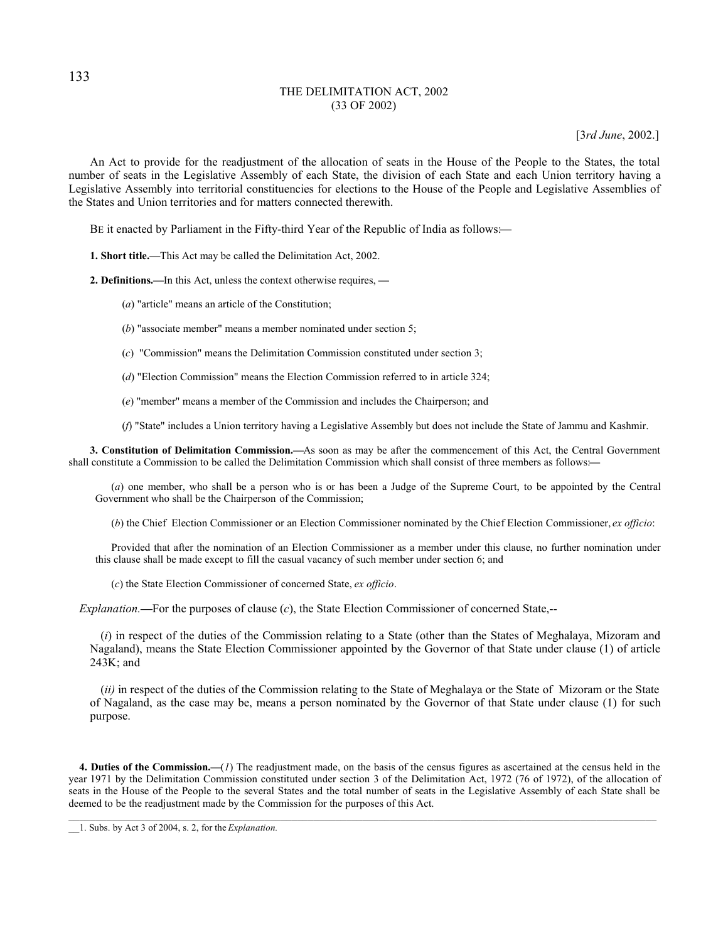### THE DELIMITATION ACT, 2002 (33 OF 2002)

[3*rd June*, 2002.]

An Act to provide for the readjustment of the allocation of seats in the House of the People to the States, the total number of seats in the Legislative Assembly of each State, the division of each State and each Union territory having a Legislative Assembly into territorial constituencies for elections to the House of the People and Legislative Assemblies of the States and Union territories and for matters connected therewith.

BE it enacted by Parliament in the Fifty-third Year of the Republic of India as follows:**—**

**1. Short title.—**This Act may be called the Delimitation Act, 2002.

**2. Definitions.—**In this Act, unless the context otherwise requires, **—**

- (*a*) "article" means an article of the Constitution;
- (*b*) "associate member" means a member nominated under section 5;
- (*c*) "Commission" means the Delimitation Commission constituted under section 3;
- (*d*) "Election Commission" means the Election Commission referred to in article 324;
- (*e*) "member" means a member of the Commission and includes the Chairperson; and
- (*f*) "State" includes a Union territory having a Legislative Assembly but does not include the State of Jammu and Kashmir.

**3. Constitution of Delimitation Commission.—**As soon as may be after the commencement of this Act, the Central Government shall constitute a Commission to be called the Delimitation Commission which shall consist of three members as follows:**—**

(*a*) one member, who shall be a person who is or has been a Judge of the Supreme Court, to be appointed by the Central Government who shall be the Chairperson of the Commission;

(*b*) the Chief Election Commissioner or an Election Commissioner nominated by the Chief Election Commissioner, *ex officio*:

Provided that after the nomination of an Election Commissioner as a member under this clause, no further nomination under this clause shall be made except to fill the casual vacancy of such member under section 6; and

(*c*) the State Election Commissioner of concerned State, *ex officio*.

*Explanation.***—**For the purposes of clause (*c*), the State Election Commissioner of concerned State,--

(*i*) in respect of the duties of the Commission relating to a State (other than the States of Meghalaya, Mizoram and Nagaland), means the State Election Commissioner appointed by the Governor of that State under clause (1) of article 243K; and

(*ii)* in respect of the duties of the Commission relating to the State of Meghalaya or the State of Mizoram or the State of Nagaland, as the case may be, means a person nominated by the Governor of that State under clause (1) for such purpose.

**4. Duties of the Commission.—**(*1*) The readjustment made, on the basis of the census figures as ascertained at the census held in the year 1971 by the Delimitation Commission constituted under section 3 of the Delimitation Act, 1972 (76 of 1972), of the allocation of seats in the House of the People to the several States and the total number of seats in the Legislative Assembly of each State shall be deemed to be the readjustment made by the Commission for the purposes of this Act.

133

\_\_1. Subs. by Act 3 of 2004, s. 2, for the *Explanation.*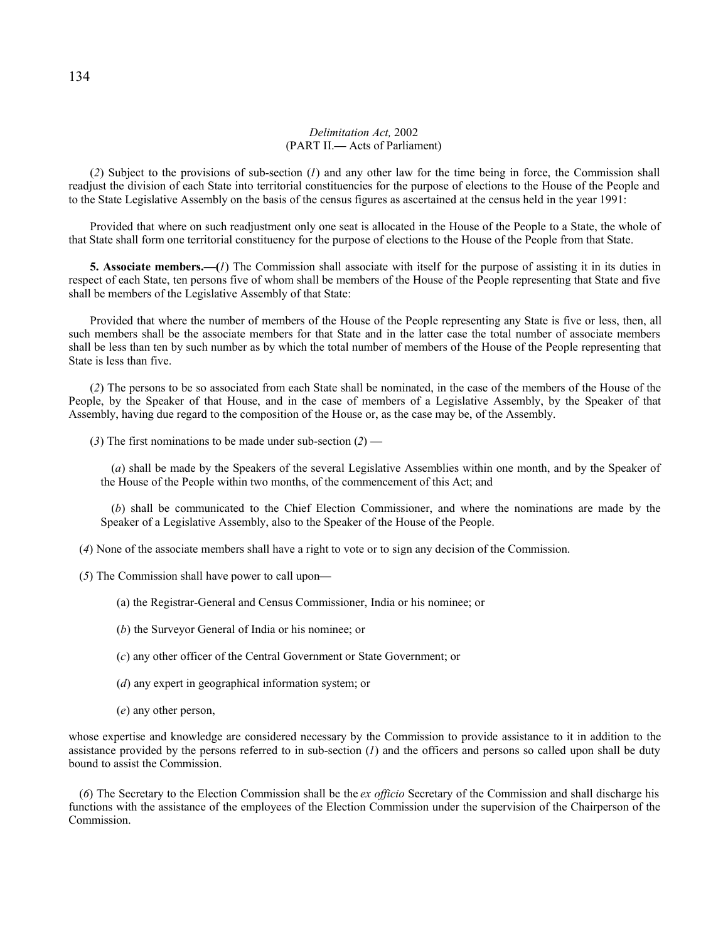#### *Delimitation Act,* 2002 (PART II.**—** Acts of Parliament)

(*2*) Subject to the provisions of sub-section (*1*) and any other law for the time being in force, the Commission shall readjust the division of each State into territorial constituencies for the purpose of elections to the House of the People and to the State Legislative Assembly on the basis of the census figures as ascertained at the census held in the year 1991:

Provided that where on such readjustment only one seat is allocated in the House of the People to a State, the whole of that State shall form one territorial constituency for the purpose of elections to the House of the People from that State.

**5. Associate members.—(***1*) The Commission shall associate with itself for the purpose of assisting it in its duties in respect of each State, ten persons five of whom shall be members of the House of the People representing that State and five shall be members of the Legislative Assembly of that State:

Provided that where the number of members of the House of the People representing any State is five or less, then, all such members shall be the associate members for that State and in the latter case the total number of associate members shall be less than ten by such number as by which the total number of members of the House of the People representing that State is less than five.

(*2*) The persons to be so associated from each State shall be nominated, in the case of the members of the House of the People, by the Speaker of that House, and in the case of members of a Legislative Assembly, by the Speaker of that Assembly, having due regard to the composition of the House or, as the case may be, of the Assembly.

(*3*) The first nominations to be made under sub-section (*2*) **—**

(*a*) shall be made by the Speakers of the several Legislative Assemblies within one month, and by the Speaker of the House of the People within two months, of the commencement of this Act; and

(*b*) shall be communicated to the Chief Election Commissioner, and where the nominations are made by the Speaker of a Legislative Assembly, also to the Speaker of the House of the People.

(*4*) None of the associate members shall have a right to vote or to sign any decision of the Commission.

(*5*) The Commission shall have power to call upon**—**

(a) the Registrar-General and Census Commissioner, India or his nominee; or

(*b*) the Surveyor General of India or his nominee; or

(*c*) any other officer of the Central Government or State Government; or

(*d*) any expert in geographical information system; or

(*e*) any other person,

whose expertise and knowledge are considered necessary by the Commission to provide assistance to it in addition to the assistance provided by the persons referred to in sub-section  $(I)$  and the officers and persons so called upon shall be duty bound to assist the Commission.

(*6*) The Secretary to the Election Commission shall be the *ex officio* Secretary of the Commission and shall discharge his functions with the assistance of the employees of the Election Commission under the supervision of the Chairperson of the **Commission**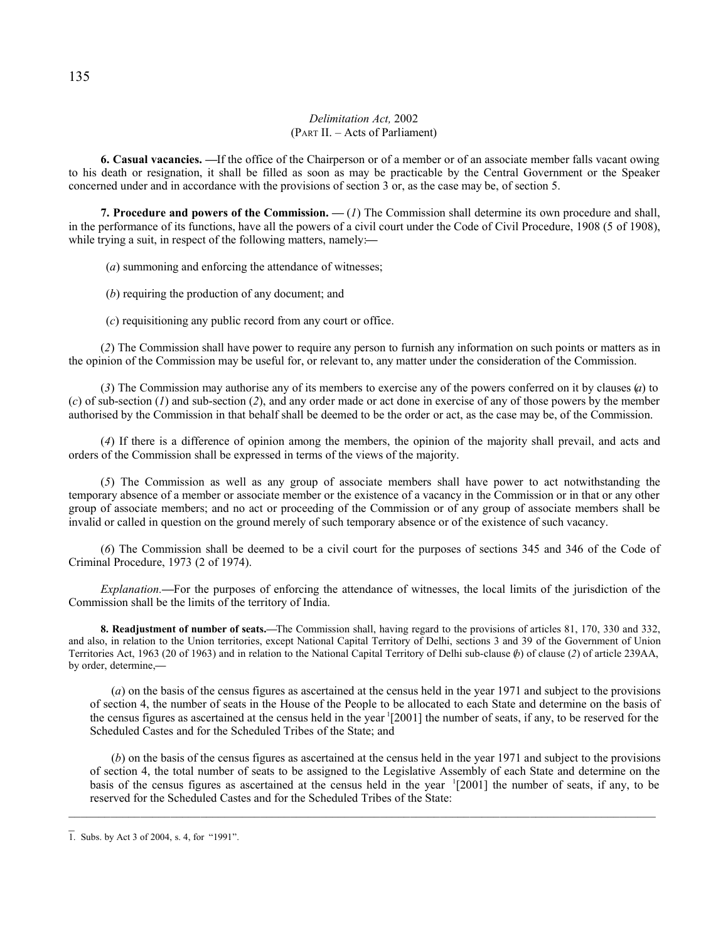# *Delimitation Act,* 2002 (PART II. – Acts of Parliament)

**6. Casual vacancies. —**If the office of the Chairperson or of a member or of an associate member falls vacant owing to his death or resignation, it shall be filled as soon as may be practicable by the Central Government or the Speaker concerned under and in accordance with the provisions of section 3 or, as the case may be, of section 5.

**7. Procedure and powers of the Commission. —** (*1*) The Commission shall determine its own procedure and shall, in the performance of its functions, have all the powers of a civil court under the Code of Civil Procedure, 1908 (5 of 1908), while trying a suit, in respect of the following matters, namely:**—**

(*a*) summoning and enforcing the attendance of witnesses;

(*b*) requiring the production of any document; and

(*c*) requisitioning any public record from any court or office.

(*2*) The Commission shall have power to require any person to furnish any information on such points or matters as in the opinion of the Commission may be useful for, or relevant to, any matter under the consideration of the Commission.

(*3*) The Commission may authorise any of its members to exercise any of the powers conferred on it by clauses (*a*) to (*c*) of sub-section (*1*) and sub-section (*2*), and any order made or act done in exercise of any of those powers by the member authorised by the Commission in that behalf shall be deemed to be the order or act, as the case may be, of the Commission.

(*4*) If there is a difference of opinion among the members, the opinion of the majority shall prevail, and acts and orders of the Commission shall be expressed in terms of the views of the majority.

(*5*) The Commission as well as any group of associate members shall have power to act notwithstanding the temporary absence of a member or associate member or the existence of a vacancy in the Commission or in that or any other group of associate members; and no act or proceeding of the Commission or of any group of associate members shall be invalid or called in question on the ground merely of such temporary absence or of the existence of such vacancy.

(*6*) The Commission shall be deemed to be a civil court for the purposes of sections 345 and 346 of the Code of Criminal Procedure, 1973 (2 of 1974).

*Explanation.***—**For the purposes of enforcing the attendance of witnesses, the local limits of the jurisdiction of the Commission shall be the limits of the territory of India.

**8. Readjustment of number of seats.—**The Commission shall, having regard to the provisions of articles 81, 170, 330 and 332, and also, in relation to the Union territories, except National Capital Territory of Delhi, sections 3 and 39 of the Government of Union Territories Act, 1963 (20 of 1963) and in relation to the National Capital Territory of Delhi sub-clause (*b*) of clause (*2*) of article 239AA, by order, determine,**—**

(*a*) on the basis of the census figures as ascertained at the census held in the year 1971 and subject to the provisions of section 4, the number of seats in the House of the People to be allocated to each State and determine on the basis of the census figures as ascertained at the census held in the year  $[2001]$  the number of seats, if any, to be reserved for the Scheduled Castes and for the Scheduled Tribes of the State; and

(*b*) on the basis of the census figures as ascertained at the census held in the year 1971 and subject to the provisions of section 4, the total number of seats to be assigned to the Legislative Assembly of each State and determine on the basis of the census figures as ascertained at the census held in the year 1 [2001] the number of seats, if any, to be reserved for the Scheduled Castes and for the Scheduled Tribes of the State:

 $\_$  , and the set of the set of the set of the set of the set of the set of the set of the set of the set of the set of the set of the set of the set of the set of the set of the set of the set of the set of the set of th

1. Subs. by Act 3 of 2004, s. 4, for "1991".

 $\overline{a}$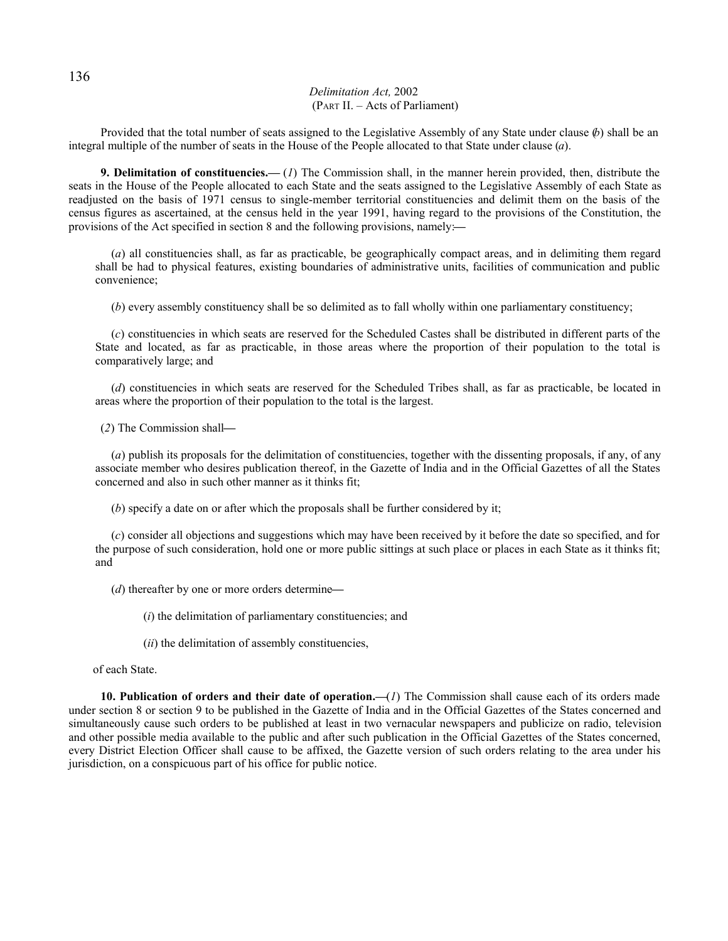## *Delimitation Act,* 2002 (PART II. – Acts of Parliament)

Provided that the total number of seats assigned to the Legislative Assembly of any State under clause (*b*) shall be an integral multiple of the number of seats in the House of the People allocated to that State under clause (*a*).

**9. Delimitation of constituencies.—** (*1*) The Commission shall, in the manner herein provided, then, distribute the seats in the House of the People allocated to each State and the seats assigned to the Legislative Assembly of each State as readjusted on the basis of 1971 census to single-member territorial constituencies and delimit them on the basis of the census figures as ascertained, at the census held in the year 1991, having regard to the provisions of the Constitution, the provisions of the Act specified in section 8 and the following provisions, namely:**—**

(*a*) all constituencies shall, as far as practicable, be geographically compact areas, and in delimiting them regard shall be had to physical features, existing boundaries of administrative units, facilities of communication and public convenience;

(*b*) every assembly constituency shall be so delimited as to fall wholly within one parliamentary constituency;

(*c*) constituencies in which seats are reserved for the Scheduled Castes shall be distributed in different parts of the State and located, as far as practicable, in those areas where the proportion of their population to the total is comparatively large; and

(*d*) constituencies in which seats are reserved for the Scheduled Tribes shall, as far as practicable, be located in areas where the proportion of their population to the total is the largest.

(*2*) The Commission shall**—**

(*a*) publish its proposals for the delimitation of constituencies, together with the dissenting proposals, if any, of any associate member who desires publication thereof, in the Gazette of India and in the Official Gazettes of all the States concerned and also in such other manner as it thinks fit;

(*b*) specify a date on or after which the proposals shall be further considered by it;

(*c*) consider all objections and suggestions which may have been received by it before the date so specified, and for the purpose of such consideration, hold one or more public sittings at such place or places in each State as it thinks fit; and

(*d*) thereafter by one or more orders determine**—**

(*i*) the delimitation of parliamentary constituencies; and

(*ii*) the delimitation of assembly constituencies,

of each State.

**10. Publication of orders and their date of operation.—**(*1*) The Commission shall cause each of its orders made under section 8 or section 9 to be published in the Gazette of India and in the Official Gazettes of the States concerned and simultaneously cause such orders to be published at least in two vernacular newspapers and publicize on radio, television and other possible media available to the public and after such publication in the Official Gazettes of the States concerned, every District Election Officer shall cause to be affixed, the Gazette version of such orders relating to the area under his jurisdiction, on a conspicuous part of his office for public notice.